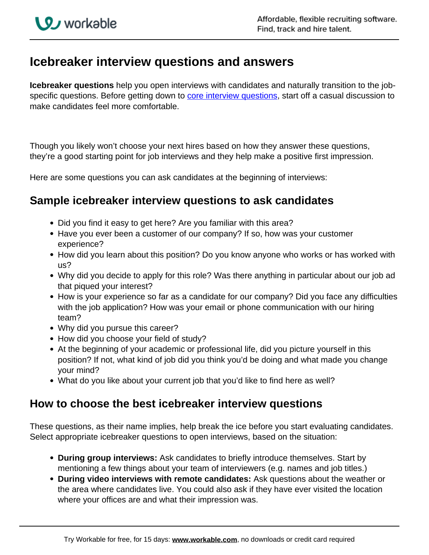## **Icebreaker interview questions and answers**

**Icebreaker questions** help you open interviews with candidates and naturally transition to the jobspecific questions. Before getting down to **core interview questions**, start off a casual discussion to make candidates feel more comfortable.

Though you likely won't choose your next hires based on how they answer these questions, they're a good starting point for job interviews and they help make a positive first impression.

Here are some questions you can ask candidates at the beginning of interviews:

## **Sample icebreaker interview questions to ask candidates**

- Did you find it easy to get here? Are you familiar with this area?
- Have you ever been a customer of our company? If so, how was your customer experience?
- How did you learn about this position? Do you know anyone who works or has worked with us?
- Why did you decide to apply for this role? Was there anything in particular about our job ad that piqued your interest?
- How is your experience so far as a candidate for our company? Did you face any difficulties with the job application? How was your email or phone communication with our hiring team?
- Why did you pursue this career?
- How did you choose your field of study?
- At the beginning of your academic or professional life, did you picture yourself in this position? If not, what kind of job did you think you'd be doing and what made you change your mind?
- What do you like about your current job that you'd like to find here as well?

## **How to choose the best icebreaker interview questions**

These questions, as their name implies, help break the ice before you start evaluating candidates. Select appropriate icebreaker questions to open interviews, based on the situation:

- **During group interviews:** Ask candidates to briefly introduce themselves. Start by mentioning a few things about your team of interviewers (e.g. names and job titles.)
- **During video interviews with remote candidates:** Ask questions about the weather or the area where candidates live. You could also ask if they have ever visited the location where your offices are and what their impression was.